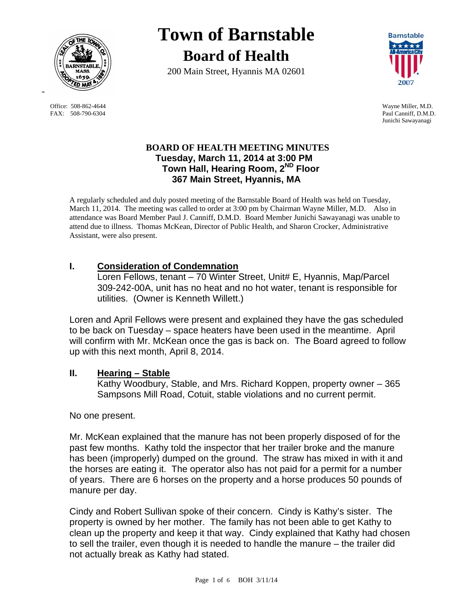

FAX: 508-790-6304 Paul Canniff, D.M.D.

# **Town of Barnstable Board of Health**

200 Main Street, Hyannis MA 02601



 Office: 508-862-4644 Wayne Miller, M.D. Junichi Sawayanagi

### **BOARD OF HEALTH MEETING MINUTES Tuesday, March 11, 2014 at 3:00 PM Town Hall, Hearing Room, 2ND Floor 367 Main Street, Hyannis, MA**

A regularly scheduled and duly posted meeting of the Barnstable Board of Health was held on Tuesday, March 11, 2014. The meeting was called to order at 3:00 pm by Chairman Wayne Miller, M.D. Also in attendance was Board Member Paul J. Canniff, D.M.D. Board Member Junichi Sawayanagi was unable to attend due to illness. Thomas McKean, Director of Public Health, and Sharon Crocker, Administrative Assistant, were also present.

## **I. Consideration of Condemnation**

Loren Fellows, tenant – 70 Winter Street, Unit# E, Hyannis, Map/Parcel 309-242-00A, unit has no heat and no hot water, tenant is responsible for utilities. (Owner is Kenneth Willett.)

Loren and April Fellows were present and explained they have the gas scheduled to be back on Tuesday – space heaters have been used in the meantime. April will confirm with Mr. McKean once the gas is back on. The Board agreed to follow up with this next month, April 8, 2014.

## **II. Hearing – Stable**

Kathy Woodbury, Stable, and Mrs. Richard Koppen, property owner – 365 Sampsons Mill Road, Cotuit, stable violations and no current permit.

No one present.

Mr. McKean explained that the manure has not been properly disposed of for the past few months. Kathy told the inspector that her trailer broke and the manure has been (improperly) dumped on the ground. The straw has mixed in with it and the horses are eating it. The operator also has not paid for a permit for a number of years. There are 6 horses on the property and a horse produces 50 pounds of manure per day.

Cindy and Robert Sullivan spoke of their concern. Cindy is Kathy's sister. The property is owned by her mother. The family has not been able to get Kathy to clean up the property and keep it that way. Cindy explained that Kathy had chosen to sell the trailer, even though it is needed to handle the manure – the trailer did not actually break as Kathy had stated.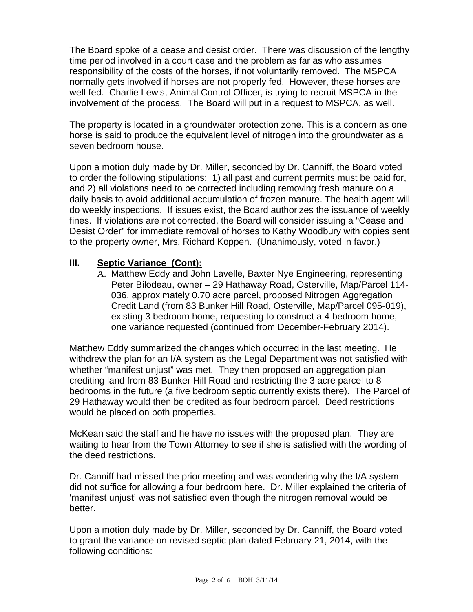The Board spoke of a cease and desist order. There was discussion of the lengthy time period involved in a court case and the problem as far as who assumes responsibility of the costs of the horses, if not voluntarily removed. The MSPCA normally gets involved if horses are not properly fed. However, these horses are well-fed. Charlie Lewis, Animal Control Officer, is trying to recruit MSPCA in the involvement of the process. The Board will put in a request to MSPCA, as well.

The property is located in a groundwater protection zone. This is a concern as one horse is said to produce the equivalent level of nitrogen into the groundwater as a seven bedroom house.

Upon a motion duly made by Dr. Miller, seconded by Dr. Canniff, the Board voted to order the following stipulations: 1) all past and current permits must be paid for, and 2) all violations need to be corrected including removing fresh manure on a daily basis to avoid additional accumulation of frozen manure. The health agent will do weekly inspections. If issues exist, the Board authorizes the issuance of weekly fines. If violations are not corrected, the Board will consider issuing a "Cease and Desist Order" for immediate removal of horses to Kathy Woodbury with copies sent to the property owner, Mrs. Richard Koppen. (Unanimously, voted in favor.)

#### **III. Septic Variance (Cont):**

A. Matthew Eddy and John Lavelle, Baxter Nye Engineering, representing Peter Bilodeau, owner – 29 Hathaway Road, Osterville, Map/Parcel 114- 036, approximately 0.70 acre parcel, proposed Nitrogen Aggregation Credit Land (from 83 Bunker Hill Road, Osterville, Map/Parcel 095-019), existing 3 bedroom home, requesting to construct a 4 bedroom home, one variance requested (continued from December-February 2014).

Matthew Eddy summarized the changes which occurred in the last meeting. He withdrew the plan for an I/A system as the Legal Department was not satisfied with whether "manifest unjust" was met. They then proposed an aggregation plan crediting land from 83 Bunker Hill Road and restricting the 3 acre parcel to 8 bedrooms in the future (a five bedroom septic currently exists there). The Parcel of 29 Hathaway would then be credited as four bedroom parcel. Deed restrictions would be placed on both properties.

McKean said the staff and he have no issues with the proposed plan. They are waiting to hear from the Town Attorney to see if she is satisfied with the wording of the deed restrictions.

Dr. Canniff had missed the prior meeting and was wondering why the I/A system did not suffice for allowing a four bedroom here. Dr. Miller explained the criteria of 'manifest unjust' was not satisfied even though the nitrogen removal would be better.

Upon a motion duly made by Dr. Miller, seconded by Dr. Canniff, the Board voted to grant the variance on revised septic plan dated February 21, 2014, with the following conditions: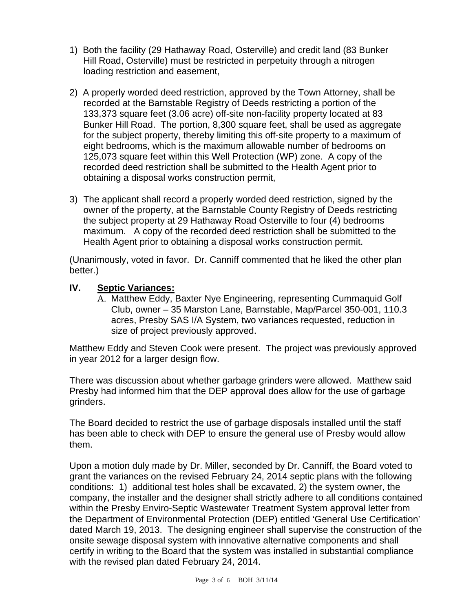- 1) Both the facility (29 Hathaway Road, Osterville) and credit land (83 Bunker Hill Road, Osterville) must be restricted in perpetuity through a nitrogen loading restriction and easement,
- 2) A properly worded deed restriction, approved by the Town Attorney, shall be recorded at the Barnstable Registry of Deeds restricting a portion of the 133,373 square feet (3.06 acre) off-site non-facility property located at 83 Bunker Hill Road. The portion, 8,300 square feet, shall be used as aggregate for the subject property, thereby limiting this off-site property to a maximum of eight bedrooms, which is the maximum allowable number of bedrooms on 125,073 square feet within this Well Protection (WP) zone. A copy of the recorded deed restriction shall be submitted to the Health Agent prior to obtaining a disposal works construction permit,
- 3) The applicant shall record a properly worded deed restriction, signed by the owner of the property, at the Barnstable County Registry of Deeds restricting the subject property at 29 Hathaway Road Osterville to four (4) bedrooms maximum. A copy of the recorded deed restriction shall be submitted to the Health Agent prior to obtaining a disposal works construction permit.

(Unanimously, voted in favor. Dr. Canniff commented that he liked the other plan better.)

### **IV. Septic Variances:**

A. Matthew Eddy, Baxter Nye Engineering, representing Cummaquid Golf Club, owner – 35 Marston Lane, Barnstable, Map/Parcel 350-001, 110.3 acres, Presby SAS I/A System, two variances requested, reduction in size of project previously approved.

Matthew Eddy and Steven Cook were present. The project was previously approved in year 2012 for a larger design flow.

There was discussion about whether garbage grinders were allowed. Matthew said Presby had informed him that the DEP approval does allow for the use of garbage grinders.

The Board decided to restrict the use of garbage disposals installed until the staff has been able to check with DEP to ensure the general use of Presby would allow them.

Upon a motion duly made by Dr. Miller, seconded by Dr. Canniff, the Board voted to grant the variances on the revised February 24, 2014 septic plans with the following conditions: 1) additional test holes shall be excavated, 2) the system owner, the company, the installer and the designer shall strictly adhere to all conditions contained within the Presby Enviro-Septic Wastewater Treatment System approval letter from the Department of Environmental Protection (DEP) entitled 'General Use Certification' dated March 19, 2013. The designing engineer shall supervise the construction of the onsite sewage disposal system with innovative alternative components and shall certify in writing to the Board that the system was installed in substantial compliance with the revised plan dated February 24, 2014.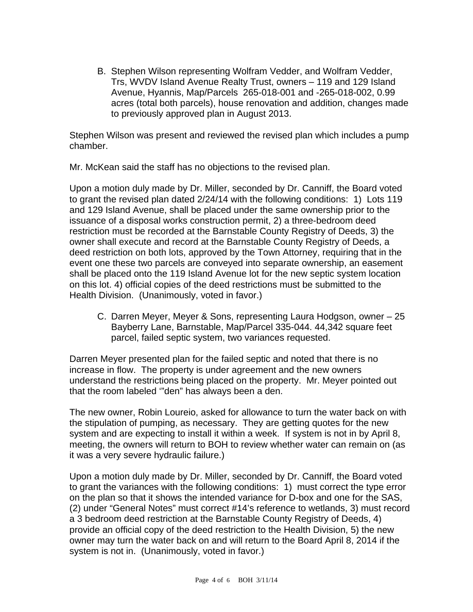B. Stephen Wilson representing Wolfram Vedder, and Wolfram Vedder, Trs, WVDV Island Avenue Realty Trust, owners – 119 and 129 Island Avenue, Hyannis, Map/Parcels 265-018-001 and -265-018-002, 0.99 acres (total both parcels), house renovation and addition, changes made to previously approved plan in August 2013.

Stephen Wilson was present and reviewed the revised plan which includes a pump chamber.

Mr. McKean said the staff has no objections to the revised plan.

Upon a motion duly made by Dr. Miller, seconded by Dr. Canniff, the Board voted to grant the revised plan dated 2/24/14 with the following conditions: 1) Lots 119 and 129 Island Avenue, shall be placed under the same ownership prior to the issuance of a disposal works construction permit, 2) a three-bedroom deed restriction must be recorded at the Barnstable County Registry of Deeds, 3) the owner shall execute and record at the Barnstable County Registry of Deeds, a deed restriction on both lots, approved by the Town Attorney, requiring that in the event one these two parcels are conveyed into separate ownership, an easement shall be placed onto the 119 Island Avenue lot for the new septic system location on this lot. 4) official copies of the deed restrictions must be submitted to the Health Division. (Unanimously, voted in favor.)

C. Darren Meyer, Meyer & Sons, representing Laura Hodgson, owner – 25 Bayberry Lane, Barnstable, Map/Parcel 335-044. 44,342 square feet parcel, failed septic system, two variances requested.

Darren Meyer presented plan for the failed septic and noted that there is no increase in flow. The property is under agreement and the new owners understand the restrictions being placed on the property. Mr. Meyer pointed out that the room labeled '"den" has always been a den.

The new owner, Robin Loureio, asked for allowance to turn the water back on with the stipulation of pumping, as necessary. They are getting quotes for the new system and are expecting to install it within a week. If system is not in by April 8, meeting, the owners will return to BOH to review whether water can remain on (as it was a very severe hydraulic failure.)

Upon a motion duly made by Dr. Miller, seconded by Dr. Canniff, the Board voted to grant the variances with the following conditions: 1) must correct the type error on the plan so that it shows the intended variance for D-box and one for the SAS, (2) under "General Notes" must correct #14's reference to wetlands, 3) must record a 3 bedroom deed restriction at the Barnstable County Registry of Deeds, 4) provide an official copy of the deed restriction to the Health Division, 5) the new owner may turn the water back on and will return to the Board April 8, 2014 if the system is not in. (Unanimously, voted in favor.)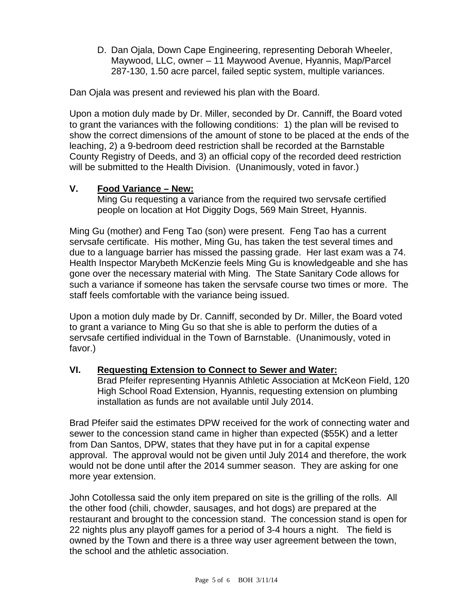D. Dan Ojala, Down Cape Engineering, representing Deborah Wheeler, Maywood, LLC, owner – 11 Maywood Avenue, Hyannis, Map/Parcel 287-130, 1.50 acre parcel, failed septic system, multiple variances.

Dan Ojala was present and reviewed his plan with the Board.

Upon a motion duly made by Dr. Miller, seconded by Dr. Canniff, the Board voted to grant the variances with the following conditions: 1) the plan will be revised to show the correct dimensions of the amount of stone to be placed at the ends of the leaching, 2) a 9-bedroom deed restriction shall be recorded at the Barnstable County Registry of Deeds, and 3) an official copy of the recorded deed restriction will be submitted to the Health Division. (Unanimously, voted in favor.)

## **V. Food Variance – New:**

Ming Gu requesting a variance from the required two servsafe certified people on location at Hot Diggity Dogs, 569 Main Street, Hyannis.

Ming Gu (mother) and Feng Tao (son) were present. Feng Tao has a current servsafe certificate. His mother, Ming Gu, has taken the test several times and due to a language barrier has missed the passing grade. Her last exam was a 74. Health Inspector Marybeth McKenzie feels Ming Gu is knowledgeable and she has gone over the necessary material with Ming. The State Sanitary Code allows for such a variance if someone has taken the servsafe course two times or more. The staff feels comfortable with the variance being issued.

Upon a motion duly made by Dr. Canniff, seconded by Dr. Miller, the Board voted to grant a variance to Ming Gu so that she is able to perform the duties of a servsafe certified individual in the Town of Barnstable. (Unanimously, voted in favor.)

## **VI. Requesting Extension to Connect to Sewer and Water:**

Brad Pfeifer representing Hyannis Athletic Association at McKeon Field, 120 High School Road Extension, Hyannis, requesting extension on plumbing installation as funds are not available until July 2014.

Brad Pfeifer said the estimates DPW received for the work of connecting water and sewer to the concession stand came in higher than expected (\$55K) and a letter from Dan Santos, DPW, states that they have put in for a capital expense approval. The approval would not be given until July 2014 and therefore, the work would not be done until after the 2014 summer season. They are asking for one more year extension.

John Cotollessa said the only item prepared on site is the grilling of the rolls. All the other food (chili, chowder, sausages, and hot dogs) are prepared at the restaurant and brought to the concession stand. The concession stand is open for 22 nights plus any playoff games for a period of 3-4 hours a night. The field is owned by the Town and there is a three way user agreement between the town, the school and the athletic association.